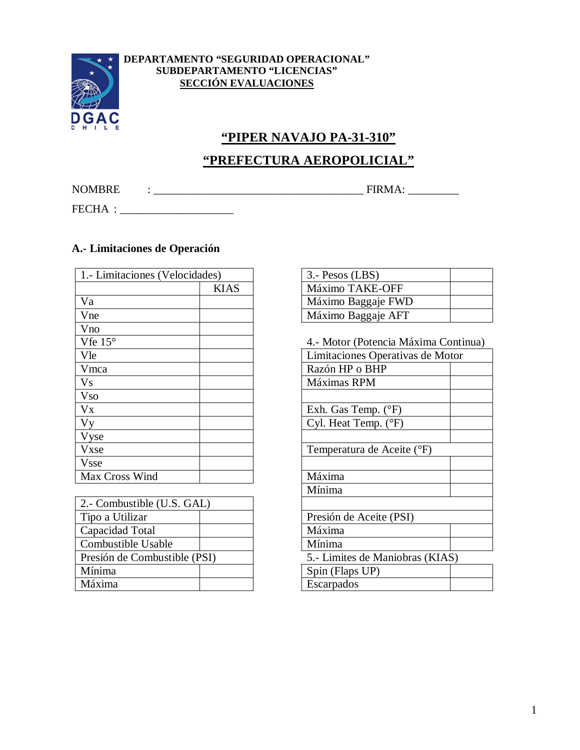

#### **DEPARTAMENTO "SEGURIDAD OPERACIONAL" SUBDEPARTAMENTO "LICENCIAS" SECCIÓN EVALUACIONES**

# **"PIPER NAVAJO PA-31-310"**

# **"PREFECTURA AEROPOLICIAL"**

NOMBRE : \_\_\_\_\_\_\_\_\_\_\_\_\_\_\_\_\_\_\_\_\_\_\_\_\_\_\_\_\_\_\_\_\_\_\_\_\_ FIRMA: \_\_\_\_\_\_\_\_\_

FECHA :

## **A.- Limitaciones de Operación**

| 1. - Limitaciones (Velocidades) |             | $3. -$ Pesos (LBS)               |
|---------------------------------|-------------|----------------------------------|
|                                 | <b>KIAS</b> | Máximo TAKE-OFF                  |
| Va                              |             | Máximo Baggaje FWD               |
| Vne                             |             | Máximo Baggaje AFT               |
| Vno                             |             |                                  |
| Vfe $15^{\circ}$                |             | 4.- Motor (Potencia Máxima Conti |
| Vle                             |             | Limitaciones Operativas de Motor |
| Vmca                            |             | Razón HP o BHP                   |
| <b>Vs</b>                       |             | Máximas RPM                      |
| <b>Vso</b>                      |             |                                  |
| $V_{X}$                         |             | Exh. Gas Temp. $(^{\circ}F)$     |
| Vy                              |             | Cyl. Heat Temp. (°F)             |
| Vyse                            |             |                                  |
| Vxse                            |             | Temperatura de Aceite (°F)       |
| <b>Vsse</b>                     |             |                                  |
| Max Cross Wind                  |             | Máxima                           |

| 2. Combustible (U.S. GAL)    |                                 |
|------------------------------|---------------------------------|
| Tipo a Utilizar              | Presión de Aceite (PSI)         |
| Capacidad Total              | Máxima                          |
| Combustible Usable           | Mínima                          |
| Presión de Combustible (PSI) | 5.- Limites de Maniobras (KIAS) |
| Mínima                       | Spin (Flaps UP)                 |
| Máxima                       | Escarpados                      |

| S)    | $3. -$ Pesos (LBS) |  |
|-------|--------------------|--|
| KI AS | Máximo TAKE-OFF    |  |
|       | Máximo Baggaje FWD |  |
|       | Máximo Baggaje AFT |  |

| Vfe $15^{\circ}$             | 4.- Motor (Potencia Máxima Continua) |  |
|------------------------------|--------------------------------------|--|
| Vle                          | Limitaciones Operativas de Motor     |  |
| Vmca                         | Razón HP o BHP                       |  |
| V <sub>S</sub>               | Máximas RPM                          |  |
| <b>Vso</b>                   |                                      |  |
| $V_{X}$                      | Exh. Gas Temp. $(^{\circ}F)$         |  |
| V <sub>V</sub>               | Cyl. Heat Temp. (°F)                 |  |
| Vyse                         |                                      |  |
| Vxse                         | Temperatura de Aceite (°F)           |  |
| Vsse                         |                                      |  |
| Max Cross Wind               | Máxima                               |  |
|                              | Mínima                               |  |
| 2.- Combustible (U.S. GAL)   |                                      |  |
| Tipo a Utilizar              | Presión de Aceite (PSI)              |  |
| Capacidad Total              | Máxima                               |  |
| Combustible Usable           | Mínima                               |  |
| Presión de Combustible (PSI) | 5.- Limites de Maniobras (KIAS)      |  |
| Mínima                       | Spin (Flaps UP)                      |  |
| Máxima                       | Escarpados                           |  |
|                              |                                      |  |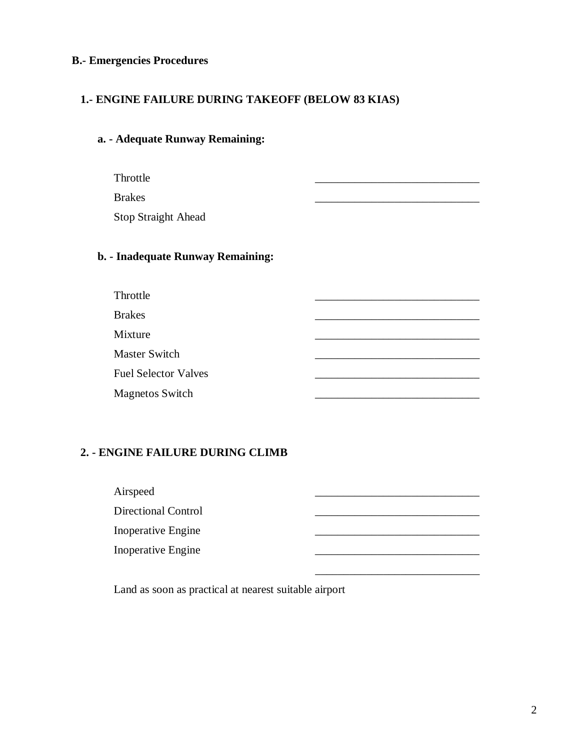### **B.- Emergencies Procedures**

### **1.- ENGINE FAILURE DURING TAKEOFF (BELOW 83 KIAS)**

## **a. - Adequate Runway Remaining:**

Throttle \_\_\_\_\_\_\_\_\_\_\_\_\_\_\_\_\_\_\_\_\_\_\_\_\_\_\_\_\_

Brakes \_\_\_\_\_\_\_\_\_\_\_\_\_\_\_\_\_\_\_\_\_\_\_\_\_\_\_\_\_

Stop Straight Ahead

# **b. - Inadequate Runway Remaining:**

| Throttle                    |  |
|-----------------------------|--|
| <b>Brakes</b>               |  |
| Mixture                     |  |
| Master Switch               |  |
| <b>Fuel Selector Valves</b> |  |
| <b>Magnetos Switch</b>      |  |

### **2. - ENGINE FAILURE DURING CLIMB**

| Airspeed                  |  |
|---------------------------|--|
| Directional Control       |  |
| <b>Inoperative Engine</b> |  |
| <b>Inoperative Engine</b> |  |
|                           |  |

Land as soon as practical at nearest suitable airport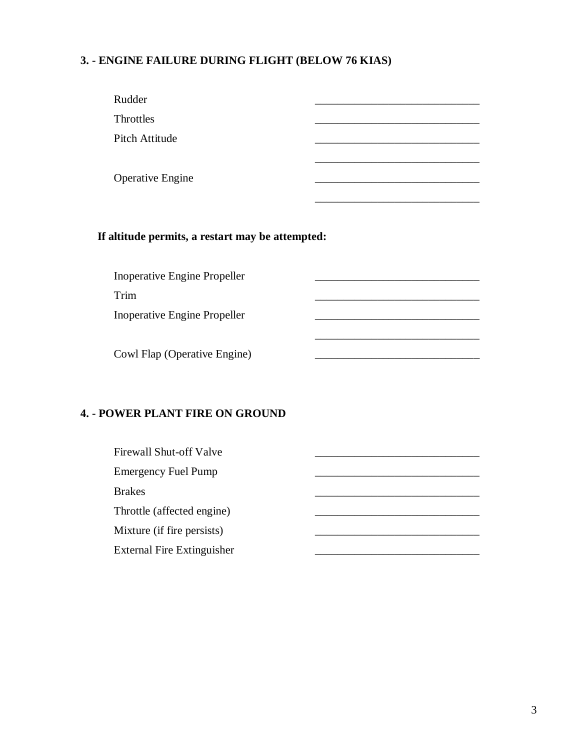## **3. - ENGINE FAILURE DURING FLIGHT (BELOW 76 KIAS)**

| Rudder                  |  |
|-------------------------|--|
| Throttles               |  |
| Pitch Attitude          |  |
|                         |  |
| <b>Operative Engine</b> |  |
|                         |  |

## **If altitude permits, a restart may be attempted:**

Inoperative Engine Propeller

Trim \_\_\_\_\_\_\_\_\_\_\_\_\_\_\_\_\_\_\_\_\_\_\_\_\_\_\_\_\_

Inoperative Engine Propeller

Cowl Flap (Operative Engine)

### **4. - POWER PLANT FIRE ON GROUND**

| Firewall Shut-off Valve           |  |
|-----------------------------------|--|
| <b>Emergency Fuel Pump</b>        |  |
| <b>Brakes</b>                     |  |
| Throttle (affected engine)        |  |
| Mixture (if fire persists)        |  |
| <b>External Fire Extinguisher</b> |  |

\_\_\_\_\_\_\_\_\_\_\_\_\_\_\_\_\_\_\_\_\_\_\_\_\_\_\_\_\_